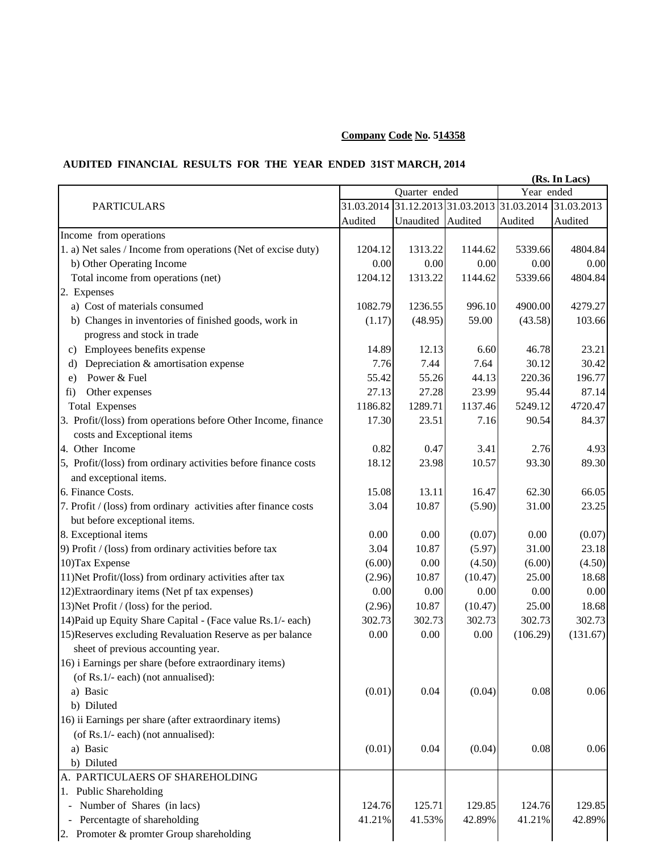## **Company Code No. 514358**

## **AUDITED FINANCIAL RESULTS FOR THE YEAR ENDED 31ST MARCH, 2014**

|                                                                 | (Rs. In Lacs) |                   |                                             |            |            |  |
|-----------------------------------------------------------------|---------------|-------------------|---------------------------------------------|------------|------------|--|
|                                                                 |               | Quarter ended     |                                             | Year ended |            |  |
| <b>PARTICULARS</b>                                              |               |                   | 31.03.2014 31.12.2013 31.03.2013 31.03.2014 |            | 31.03.2013 |  |
|                                                                 | Audited       | Unaudited Audited |                                             | Audited    | Audited    |  |
| Income from operations                                          |               |                   |                                             |            |            |  |
| 1. a) Net sales / Income from operations (Net of excise duty)   | 1204.12       | 1313.22           | 1144.62                                     | 5339.66    | 4804.84    |  |
| b) Other Operating Income                                       | 0.00          | 0.00              | 0.00                                        | 0.00       | 0.00       |  |
| Total income from operations (net)                              | 1204.12       | 1313.22           | 1144.62                                     | 5339.66    | 4804.84    |  |
| 2. Expenses                                                     |               |                   |                                             |            |            |  |
| a) Cost of materials consumed                                   | 1082.79       | 1236.55           | 996.10                                      | 4900.00    | 4279.27    |  |
| b) Changes in inventories of finished goods, work in            | (1.17)        | (48.95)           | 59.00                                       | (43.58)    | 103.66     |  |
| progress and stock in trade                                     |               |                   |                                             |            |            |  |
| Employees benefits expense<br>C)                                | 14.89         | 12.13             | 6.60                                        | 46.78      | 23.21      |  |
| Depreciation & amortisation expense<br>d)                       | 7.76          | 7.44              | 7.64                                        | 30.12      | 30.42      |  |
| Power & Fuel<br>e)                                              | 55.42         | 55.26             | 44.13                                       | 220.36     | 196.77     |  |
| Other expenses<br>fi)                                           | 27.13         | 27.28             | 23.99                                       | 95.44      | 87.14      |  |
| <b>Total Expenses</b>                                           | 1186.82       | 1289.71           | 1137.46                                     | 5249.12    | 4720.47    |  |
| 3. Profit/(loss) from operations before Other Income, finance   | 17.30         | 23.51             | 7.16                                        | 90.54      | 84.37      |  |
| costs and Exceptional items                                     |               |                   |                                             |            |            |  |
| 4. Other Income                                                 | 0.82          | 0.47              | 3.41                                        | 2.76       | 4.93       |  |
| 5, Profit/(loss) from ordinary activities before finance costs  | 18.12         | 23.98             | 10.57                                       | 93.30      | 89.30      |  |
| and exceptional items.                                          |               |                   |                                             |            |            |  |
| 6. Finance Costs.                                               | 15.08         | 13.11             | 16.47                                       | 62.30      | 66.05      |  |
| 7. Profit / (loss) from ordinary activities after finance costs | 3.04          | 10.87             | (5.90)                                      | 31.00      | 23.25      |  |
| but before exceptional items.                                   |               |                   |                                             |            |            |  |
| 8. Exceptional items                                            | 0.00          | 0.00              | (0.07)                                      | 0.00       | (0.07)     |  |
| 9) Profit / (loss) from ordinary activities before tax          | 3.04          | 10.87             | (5.97)                                      | 31.00      | 23.18      |  |
| 10) Tax Expense                                                 | (6.00)        | 0.00              | (4.50)                                      | (6.00)     | (4.50)     |  |
| 11) Net Profit/(loss) from ordinary activities after tax        | (2.96)        | 10.87             | (10.47)                                     | 25.00      | 18.68      |  |
| 12) Extraordinary items (Net pf tax expenses)                   | 0.00          | 0.00              | 0.00                                        | 0.00       | 0.00       |  |
| 13) Net Profit / (loss) for the period.                         | (2.96)        | 10.87             | (10.47)                                     | 25.00      | 18.68      |  |
| 14) Paid up Equity Share Capital - (Face value Rs.1/- each)     | 302.73        | 302.73            | 302.73                                      | 302.73     | 302.73     |  |
| 15) Reserves excluding Revaluation Reserve as per balance       | 0.00          | 0.00              | 0.00                                        | (106.29)   | (131.67)   |  |
| sheet of previous accounting year.                              |               |                   |                                             |            |            |  |
| 16) i Earnings per share (before extraordinary items)           |               |                   |                                             |            |            |  |
| (of Rs.1/- each) (not annualised):                              |               |                   |                                             |            |            |  |
| a) Basic                                                        | (0.01)        | 0.04              | (0.04)                                      | 0.08       | 0.06       |  |
| b) Diluted                                                      |               |                   |                                             |            |            |  |
| 16) ii Earnings per share (after extraordinary items)           |               |                   |                                             |            |            |  |
| (of Rs.1/- each) (not annualised):                              |               |                   |                                             |            |            |  |
| a) Basic                                                        | (0.01)        | 0.04              | (0.04)                                      | 0.08       | 0.06       |  |
| b) Diluted                                                      |               |                   |                                             |            |            |  |
| A. PARTICULAERS OF SHAREHOLDING                                 |               |                   |                                             |            |            |  |
| Public Shareholding<br>1.                                       |               |                   |                                             |            |            |  |
| Number of Shares (in lacs)                                      | 124.76        | 125.71            | 129.85                                      | 124.76     | 129.85     |  |
| Percentagte of shareholding                                     | 41.21%        | 41.53%            | 42.89%                                      | 41.21%     | 42.89%     |  |
| 2. Promoter & promter Group shareholding                        |               |                   |                                             |            |            |  |
|                                                                 |               |                   |                                             |            |            |  |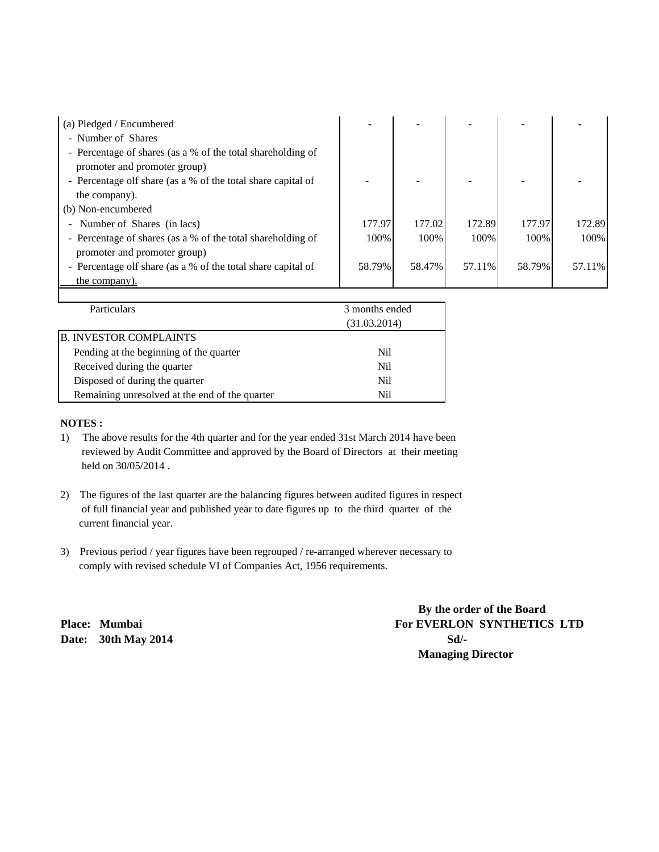| (a) Pledged / Encumbered                                     |        |        |        |        |        |
|--------------------------------------------------------------|--------|--------|--------|--------|--------|
| - Number of Shares                                           |        |        |        |        |        |
| - Percentage of shares (as a % of the total shareholding of  |        |        |        |        |        |
| promoter and promoter group)                                 |        |        |        |        |        |
| - Percentage olf share (as a % of the total share capital of |        |        |        |        |        |
| the company).                                                |        |        |        |        |        |
| (b) Non-encumbered                                           |        |        |        |        |        |
| Number of Shares (in lacs)                                   | 177.97 | 177.02 | 172.89 | 177.97 | 172.89 |
| - Percentage of shares (as a % of the total shareholding of  | 100%   | 100\%  | 100\%  | 100%   | 100%   |
| promoter and promoter group)                                 |        |        |        |        |        |
| - Percentage olf share (as a % of the total share capital of | 58.79% | 58.47% | 57.11% | 58.79% | 57.11% |
| the company).                                                |        |        |        |        |        |
|                                                              |        |        |        |        |        |

| <b>Particulars</b>                             | 3 months ended |  |
|------------------------------------------------|----------------|--|
|                                                | (31.03.2014)   |  |
| <b>B. INVESTOR COMPLAINTS</b>                  |                |  |
| Pending at the beginning of the quarter        | Nil            |  |
| Received during the quarter                    | Nil            |  |
| Disposed of during the quarter                 | Nil            |  |
| Remaining unresolved at the end of the quarter | Ni1            |  |

## **NOTES :**

- 1) The above results for the 4th quarter and for the year ended 31st March 2014 have been reviewed by Audit Committee and approved by the Board of Directors at their meeting held on 30/05/2014 .
- 2) The figures of the last quarter are the balancing figures between audited figures in respect of full financial year and published year to date figures up to the third quarter of the current financial year.
- 3) Previous period / year figures have been regrouped / re-arranged wherever necessary to comply with revised schedule VI of Companies Act, 1956 requirements.

**Date:** 30th May 2014 **Sd**/-

 **By the order of the Board** Place: Mumbai For EVERLON SYNTHETICS LTD  **Managing Director**